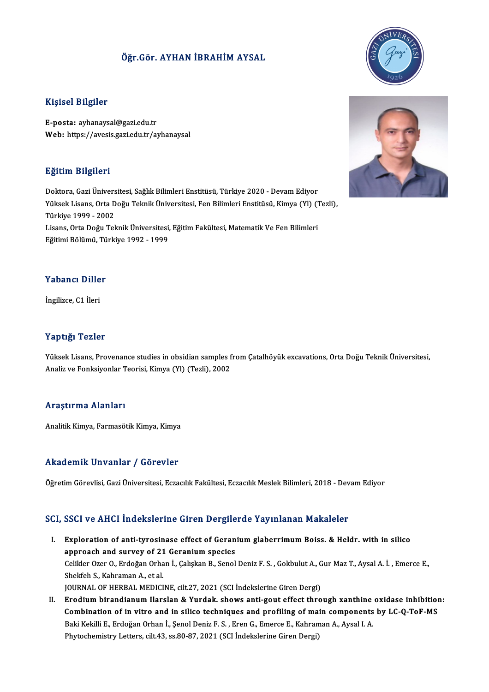# Öğr.Gör. AYHAN İBRAHİMAYSAL

### Kişisel Bilgiler

E-posta: ayhanaysal@gazi.edu.tr Web: https://avesis.gazi.edu.tr/ayhanaysal

### Eğitim Bilgileri

Doktora, Gazi Üniversitesi, Sağlık Bilimleri Enstitüsü, Türkiye 2020 - Devam Ediyor Sastini Sirgirori<br>Doktora, Gazi Üniversitesi, Sağlık Bilimleri Enstitüsü, Türkiye 2020 - Devam Ediyor<br>Yüksek Lisans, Orta Doğu Teknik Üniversitesi, Fen Bilimleri Enstitüsü, Kimya (Yl) (Tezli),<br>Türkiye 1999 - 2002 Türkiye 1999 -2002 Yüksek Lisans, Orta Doğu Teknik Üniversitesi, Fen Bilimleri Enstitüsü, Kimya (Yl) ("<br>Türkiye 1999 - 2002<br>Lisans, Orta Doğu Teknik Üniversitesi, Eğitim Fakültesi, Matematik Ve Fen Bilimleri<br>Fğitimi Bölümü, Türkiye 1992, -19 Lisans, Orta Doğu Teknik Üniversitesi, Eğitim Fakültesi, Matematik Ve Fen Bilimleri<br>Eğitimi Bölümü, Türkiye 1992 - 1999

### Yabancı Diller

İngilizce, C1 İleri

### Yaptığı Tezler

Yaptığı Tezler<br>Yüksek Lisans, Provenance studies in obsidian samples from Çatalhöyük excavations, Orta Doğu Teknik Üniversitesi,<br>Analiz ve Fenksivenlar Tearisi, Kimya (V), (Terli), 2002 1 apesga 1 02101<br>Yüksek Lisans, Provenance studies in obsidian samples f<br>Analiz ve Fonksiyonlar Teorisi, Kimya (Yl) (Tezli), 2002 Analiz ve Fonksiyonlar Teorisi, Kimya (Yl) (Tezli), 2002<br>Araştırma Alanları

Analitik Kimya, Farmasötik Kimya, Kimya

### Akademik Unvanlar / Görevler

Öğretim Görevlisi, Gazi Üniversitesi, Eczacılık Fakültesi, Eczacılık Meslek Bilimleri, 2018 - Devam Ediyor

### SCI, SSCI ve AHCI İndekslerine Giren Dergilerde Yayınlanan Makaleler

- I. Exploration of anti-tyrosinase effect of Geranium glaberrimum Boiss. & Heldr. with in silico Exploration of anti-tyrosinase effect of Geran<br>approach and survey of 21 Geranium species<br>Caliklar Orar O. Erdoğan Orban İ. Caliskan B. Sanal Exploration of anti-tyrosinase effect of Geranium glaberrimum Boiss. & Heldr. with in silico<br>approach and survey of 21 Geranium species<br>Celikler Ozer O., Erdoğan Orhan İ., Çalışkan B., Senol Deniz F. S. , Gokbulut A., Gur approach and survey of 21<br>Celikler Ozer O., Erdoğan Orha<br>Shekfeh S., Kahraman A., et al.<br>JOUPNAL OE UEPRAL MEDICI Celikler Ozer O., Erdoğan Orhan İ., Çalışkan B., Senol Deniz F. S. , Gokbulut A., G<br>Shekfeh S., Kahraman A., et al.<br>JOURNAL OF HERBAL MEDICINE, cilt.27, 2021 (SCI İndekslerine Giren Dergi)<br>Fredium birandianum Harslan & Yur Shekfeh S., Kahraman A., et al.<br>I . GOURNAL OF HERBAL MEDICINE, cilt.27, 2021 (SCI Indekslerine Giren Dergi)<br>II. Erodium birandianum Ilarslan & Yurdak. shows anti-gout effect through xanthine oxidase inhibition:<br>Combinatio
- JOURNAL OF HERBAL MEDICINE, cilt.27, 2021 (SCI İndekslerine Giren Dergi)<br>Erodium birandianum Ilarslan & Yurdak. shows anti-gout effect through xanthine oxidase inhibition<br>Combination of in vitro and in silico techniques an Erodium birandianum Ilarslan & Yurdak. shows anti-gout effect through xanthine<br>Combination of in vitro and in silico techniques and profiling of main components<br>Baki Kekilli E., Erdoğan Orhan İ., Şenol Deniz F. S. , Eren G Combination of in vitro and in silico techniques and profiling of main components by LC-Q-ToF-MS<br>Baki Kekilli E., Erdoğan Orhan İ., Şenol Deniz F. S. , Eren G., Emerce E., Kahraman A., Aysal I. A.<br>Phytochemistry Letters, c